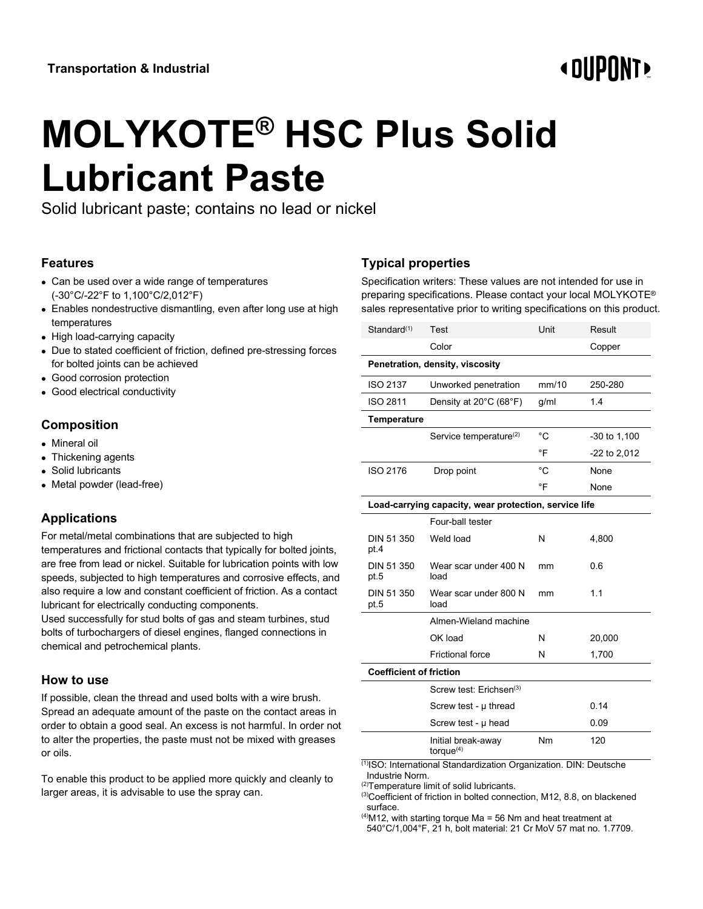# **« OUPONT**

# **MOLYKOTE® HSC Plus Solid Lubricant Paste**

Solid lubricant paste; contains no lead or nickel

#### **Features**

- Can be used over a wide range of temperatures (-30°C/-22°F to 1,100°C/2,012°F)
- Enables nondestructive dismantling, even after long use at high temperatures
- High load-carrying capacity
- Due to stated coefficient of friction, defined pre-stressing forces for bolted joints can be achieved
- Good corrosion protection
- Good electrical conductivity

### **Composition**

- Mineral oil
- Thickening agents
- Solid lubricants
- Metal powder (lead-free)

## **Applications**

For metal/metal combinations that are subjected to high temperatures and frictional contacts that typically for bolted joints, are free from lead or nickel. Suitable for lubrication points with low speeds, subjected to high temperatures and corrosive effects, and also require a low and constant coefficient of friction. As a contact lubricant for electrically conducting components.

Used successfully for stud bolts of gas and steam turbines, stud bolts of turbochargers of diesel engines, flanged connections in chemical and petrochemical plants.

#### **How to use**

If possible, clean the thread and used bolts with a wire brush. Spread an adequate amount of the paste on the contact areas in order to obtain a good seal. An excess is not harmful. In order not to alter the properties, the paste must not be mixed with greases or oils.

To enable this product to be applied more quickly and cleanly to larger areas, it is advisable to use the spray can.

# **Typical properties**

Specification writers: These values are not intended for use in preparing specifications. Please contact your local MOLYKOTE® sales representative prior to writing specifications on this product.

| Standard <sup>(1)</sup>                               | Test                                | Unit        | Result       |
|-------------------------------------------------------|-------------------------------------|-------------|--------------|
|                                                       | Color                               |             | Copper       |
| Penetration, density, viscosity                       |                                     |             |              |
| <b>ISO 2137</b>                                       | Unworked penetration                | mm/10       | 250-280      |
| <b>ISO 2811</b>                                       | Density at 20°C (68°F)              | g/ml        | 1.4          |
| <b>Temperature</b>                                    |                                     |             |              |
|                                                       | Service temperature <sup>(2)</sup>  | $^{\circ}C$ | -30 to 1,100 |
|                                                       |                                     | °F          | -22 to 2,012 |
| ISO 2176                                              | Drop point                          | °C          | None         |
|                                                       |                                     | °F          | None         |
| Load-carrying capacity, wear protection, service life |                                     |             |              |
|                                                       | Four-ball tester                    |             |              |
| DIN 51 350<br>pt.4                                    | Weld load                           | N           | 4,800        |
| DIN 51 350<br>pt.5                                    | Wear scar under 400 N<br>load       | mm          | 0.6          |
| DIN 51 350<br>pt.5                                    | Wear scar under 800 N<br>load       | mm          | 1.1          |
|                                                       | Almen-Wieland machine               |             |              |
|                                                       | OK load                             | N           | 20,000       |
|                                                       | <b>Frictional force</b>             | N           | 1,700        |
| <b>Coefficient of friction</b>                        |                                     |             |              |
|                                                       | Screw test: Erichsen <sup>(3)</sup> |             |              |
|                                                       | Screw test - µ thread               |             | 0.14         |
|                                                       | Screw test - µ head                 |             | 0.09         |
|                                                       | Initial break-away<br>torque $(4)$  | Nm          | 120          |

(1)ISO: International Standardization Organization. DIN: Deutsche Industrie Norm.

(2)Temperature limit of solid lubricants.

<sup>(3)</sup>Coefficient of friction in bolted connection, M12, 8.8, on blackened surface.

 $^{(4)}$ M12, with starting torque Ma = 56 Nm and heat treatment at 540°C/1,004°F, 21 h, bolt material: 21 Cr MoV 57 mat no. 1.7709.